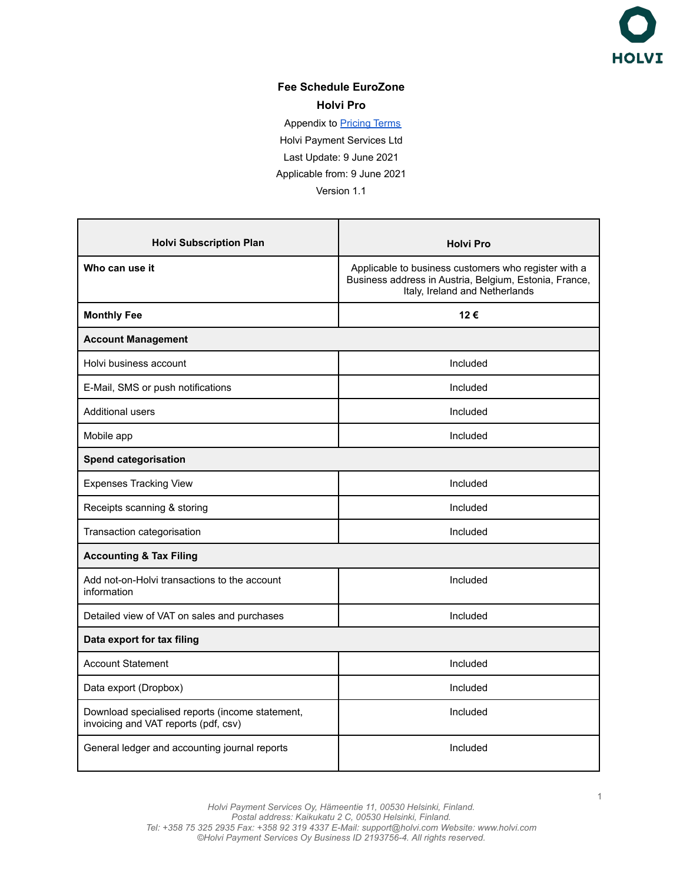

## **Fee Schedule EuroZone Holvi Pro**

Appendix to **[Pricing Terms](https://support.holvi.com/hc/en-gb/articles/360000765505-Pricing-Terms)** Holvi Payment Services Ltd Last Update: 9 June 2021 Applicable from: 9 June 2021 Version 1.1

| <b>Holvi Subscription Plan</b>                                                          | <b>Holvi Pro</b>                                                                                                                                 |  |
|-----------------------------------------------------------------------------------------|--------------------------------------------------------------------------------------------------------------------------------------------------|--|
| Who can use it                                                                          | Applicable to business customers who register with a<br>Business address in Austria, Belgium, Estonia, France,<br>Italy, Ireland and Netherlands |  |
| <b>Monthly Fee</b>                                                                      | 12€                                                                                                                                              |  |
| <b>Account Management</b>                                                               |                                                                                                                                                  |  |
| Holvi business account                                                                  | Included                                                                                                                                         |  |
| E-Mail, SMS or push notifications                                                       | Included                                                                                                                                         |  |
| Additional users                                                                        | Included                                                                                                                                         |  |
| Mobile app                                                                              | Included                                                                                                                                         |  |
| <b>Spend categorisation</b>                                                             |                                                                                                                                                  |  |
| <b>Expenses Tracking View</b>                                                           | Included                                                                                                                                         |  |
| Receipts scanning & storing                                                             | Included                                                                                                                                         |  |
| Transaction categorisation                                                              | Included                                                                                                                                         |  |
| <b>Accounting &amp; Tax Filing</b>                                                      |                                                                                                                                                  |  |
| Add not-on-Holvi transactions to the account<br>information                             | Included                                                                                                                                         |  |
| Detailed view of VAT on sales and purchases                                             | Included                                                                                                                                         |  |
| Data export for tax filing                                                              |                                                                                                                                                  |  |
| <b>Account Statement</b>                                                                | Included                                                                                                                                         |  |
| Data export (Dropbox)                                                                   | Included                                                                                                                                         |  |
| Download specialised reports (income statement,<br>invoicing and VAT reports (pdf, csv) | Included                                                                                                                                         |  |
| General ledger and accounting journal reports                                           | Included                                                                                                                                         |  |

1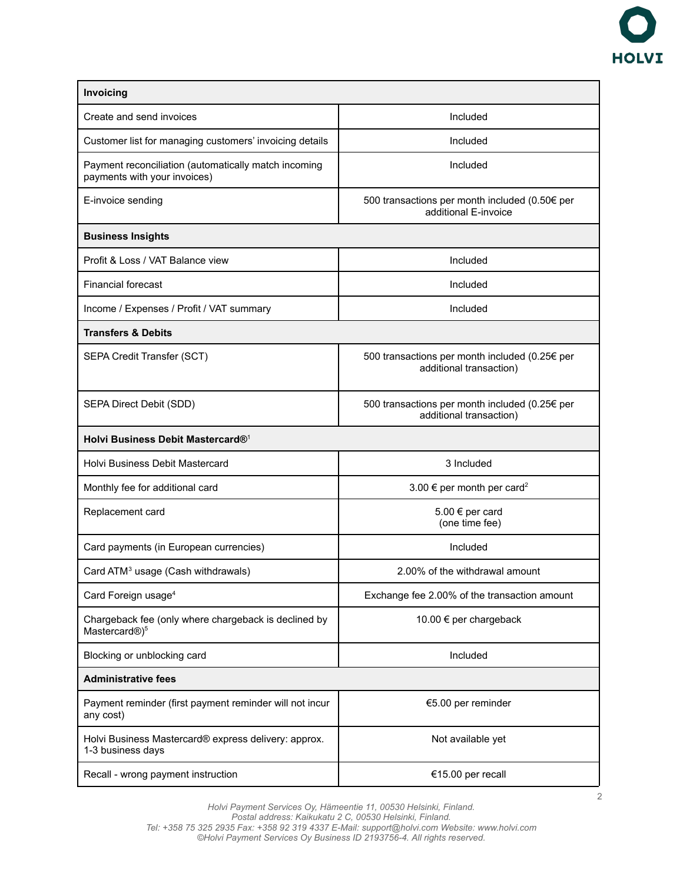

| Invoicing                                                                            |                                                                           |  |
|--------------------------------------------------------------------------------------|---------------------------------------------------------------------------|--|
| Create and send invoices                                                             | Included                                                                  |  |
| Customer list for managing customers' invoicing details                              | Included                                                                  |  |
| Payment reconciliation (automatically match incoming<br>payments with your invoices) | Included                                                                  |  |
| E-invoice sending                                                                    | 500 transactions per month included (0.50€ per<br>additional E-invoice    |  |
| <b>Business Insights</b>                                                             |                                                                           |  |
| Profit & Loss / VAT Balance view                                                     | Included                                                                  |  |
| <b>Financial forecast</b>                                                            | Included                                                                  |  |
| Income / Expenses / Profit / VAT summary                                             | Included                                                                  |  |
| <b>Transfers &amp; Debits</b>                                                        |                                                                           |  |
| SEPA Credit Transfer (SCT)                                                           | 500 transactions per month included (0.25€ per<br>additional transaction) |  |
| SEPA Direct Debit (SDD)                                                              | 500 transactions per month included (0.25€ per<br>additional transaction) |  |
| Holvi Business Debit Mastercard® <sup>1</sup>                                        |                                                                           |  |
| <b>Holvi Business Debit Mastercard</b>                                               | 3 Included                                                                |  |
| Monthly fee for additional card                                                      | 3.00 € per month per card <sup>2</sup>                                    |  |
| Replacement card                                                                     | 5.00 € per card<br>(one time fee)                                         |  |
| Card payments (in European currencies)                                               | Included                                                                  |  |
| Card ATM <sup>3</sup> usage (Cash withdrawals)                                       | 2.00% of the withdrawal amount                                            |  |
| Card Foreign usage <sup>4</sup>                                                      | Exchange fee 2.00% of the transaction amount                              |  |
| Chargeback fee (only where chargeback is declined by<br>Mastercard®) <sup>5</sup>    | 10.00 € per chargeback                                                    |  |
| Blocking or unblocking card                                                          | Included                                                                  |  |
| <b>Administrative fees</b>                                                           |                                                                           |  |
| Payment reminder (first payment reminder will not incur<br>any cost)                 | €5.00 per reminder                                                        |  |
| Holvi Business Mastercard® express delivery: approx.<br>1-3 business days            | Not available yet                                                         |  |
| Recall - wrong payment instruction                                                   | €15.00 per recall                                                         |  |